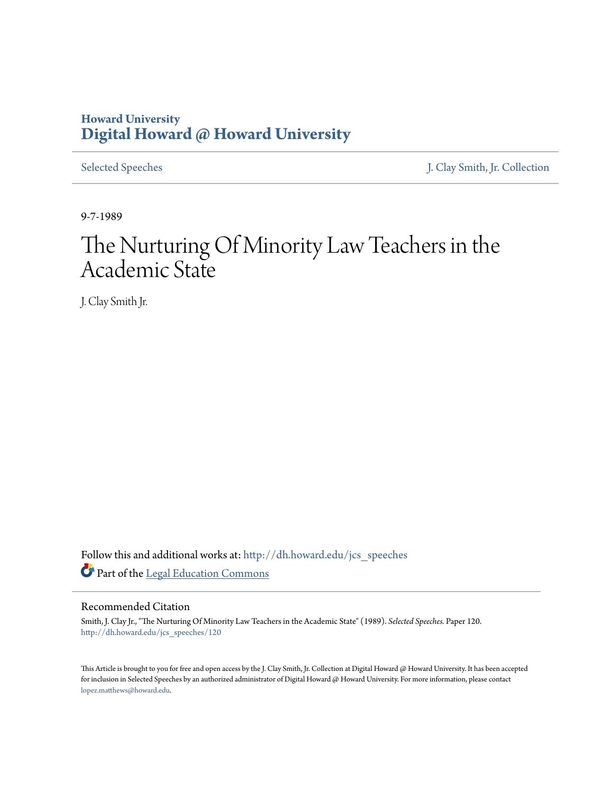## **Howard University [Digital Howard @ Howard University](http://dh.howard.edu?utm_source=dh.howard.edu%2Fjcs_speeches%2F120&utm_medium=PDF&utm_campaign=PDFCoverPages)**

[Selected Speeches](http://dh.howard.edu/jcs_speeches?utm_source=dh.howard.edu%2Fjcs_speeches%2F120&utm_medium=PDF&utm_campaign=PDFCoverPages) [J. Clay Smith, Jr. Collection](http://dh.howard.edu/jcsmith?utm_source=dh.howard.edu%2Fjcs_speeches%2F120&utm_medium=PDF&utm_campaign=PDFCoverPages)

9-7-1989

## The Nurturing Of Minority Law Teachers in the Academic State

J. Clay Smith Jr.

Follow this and additional works at: [http://dh.howard.edu/jcs\\_speeches](http://dh.howard.edu/jcs_speeches?utm_source=dh.howard.edu%2Fjcs_speeches%2F120&utm_medium=PDF&utm_campaign=PDFCoverPages) Part of the [Legal Education Commons](http://network.bepress.com/hgg/discipline/857?utm_source=dh.howard.edu%2Fjcs_speeches%2F120&utm_medium=PDF&utm_campaign=PDFCoverPages)

## Recommended Citation

Smith, J. Clay Jr., "The Nurturing Of Minority Law Teachers in the Academic State" (1989). *Selected Speeches.* Paper 120. [http://dh.howard.edu/jcs\\_speeches/120](http://dh.howard.edu/jcs_speeches/120?utm_source=dh.howard.edu%2Fjcs_speeches%2F120&utm_medium=PDF&utm_campaign=PDFCoverPages)

This Article is brought to you for free and open access by the J. Clay Smith, Jr. Collection at Digital Howard @ Howard University. It has been accepted for inclusion in Selected Speeches by an authorized administrator of Digital Howard @ Howard University. For more information, please contact [lopez.matthews@howard.edu.](mailto:lopez.matthews@howard.edu)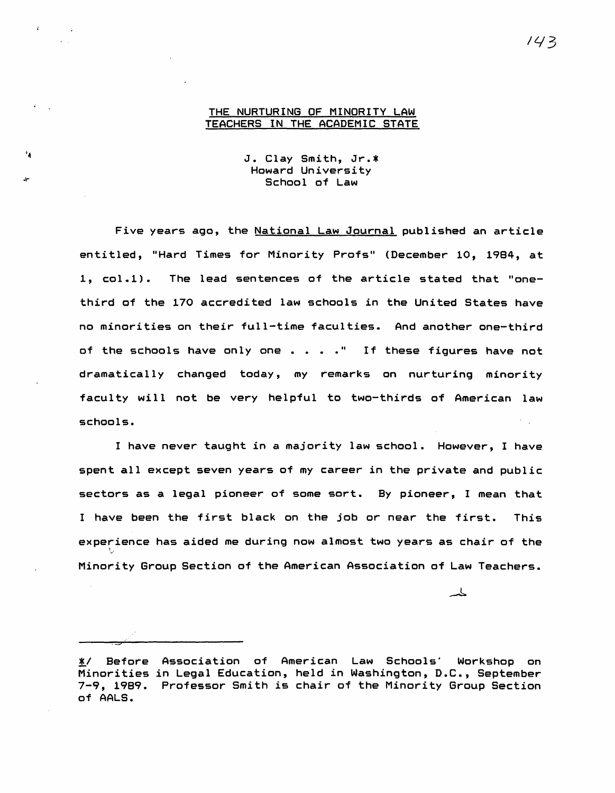## THE NURTURING OF MINORITY LAW TEACHERS IN THE ACADEMIC STATE

J. Clay Smith, Jr.\* Howard University School of Law

Five years ago, the National Law Journal published an article entitled, "Hard Times for Minority Profs" (December 10, 1984, at 1, col.1). The lead sentences of the article stated that "onethird of the 170 accredited law schools in the United States have no minorities on their full-time faculties. And another one-third of the schools have only one  $\ldots$  . . " If these figures have not dramatically changed today, my remarks on nurturing minority faculty will not be very helpful to two-thirds of American law schools.

I have never taught in a majority law school. However, I have spent all except seven years of my career in the private and public sectors as a legal pioneer of some sort. By pioneer, I mean that I have been the first black on the job or near the first. This experience has aided me during now almost two years as chair of the Minority Group Section of the American Association of Law Teachers •

丄

.<br>.<br>.

<sup>~/</sup> Before Association of American Law Schools' Workshop on Minorities in Legal Education, held in Washington, D.C., September 7-9, 1989. Professor Smith is chair of the Minority Group Section of AALS.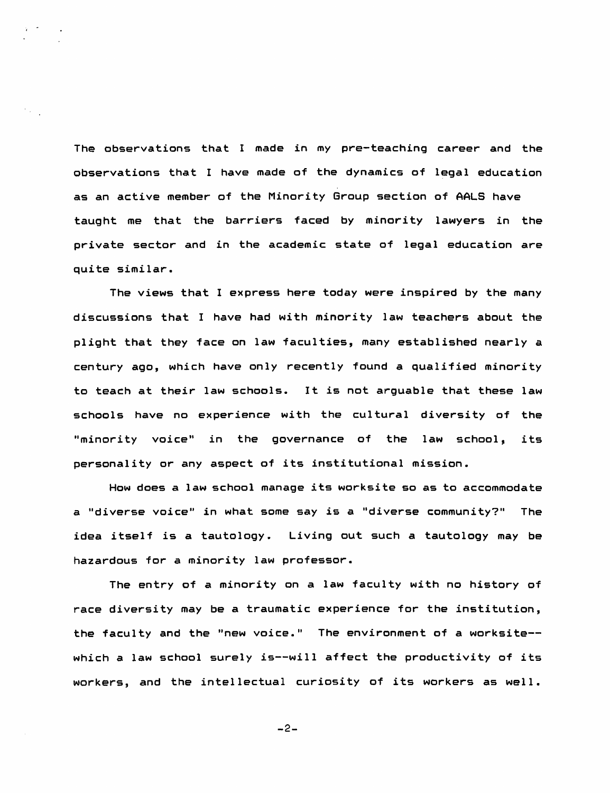The observations that I made in my pre-teaching career and the observations that I have made of the dynamics of legal education as an active member of the Minority Group section of AALS have taught me that the barriers faced by minority lawyers in the private sector and in the academic state of legal education are quite similar.

The views that I express here today were inspired by the many discussions that I have had with minority law teachers about the plight that they face on law faculties, many established nearly a century ago, which have only recently found a qualified minority to teach at their law schools. It is not arguable that these law schools have no experience with the cultural diversity of the "minority voice" in the governance of the law school, its personality or any aspect of its institutional mission.

How does a law school manage its worksite so as to accommodate a "diverse voice" in what some say is a "diverse community?" The idea itself is a tautology. Living out such a tautology may be hazardous for a minority law professor.

The entry of a minority on a law faculty with no history of race diversity may be a traumatic experience for the institution, the faculty and the "new voice." The environment of a worksite-which a law school surely is--will affect the productivity of its workers, and the intellectual curiosity of its workers as well.

-2-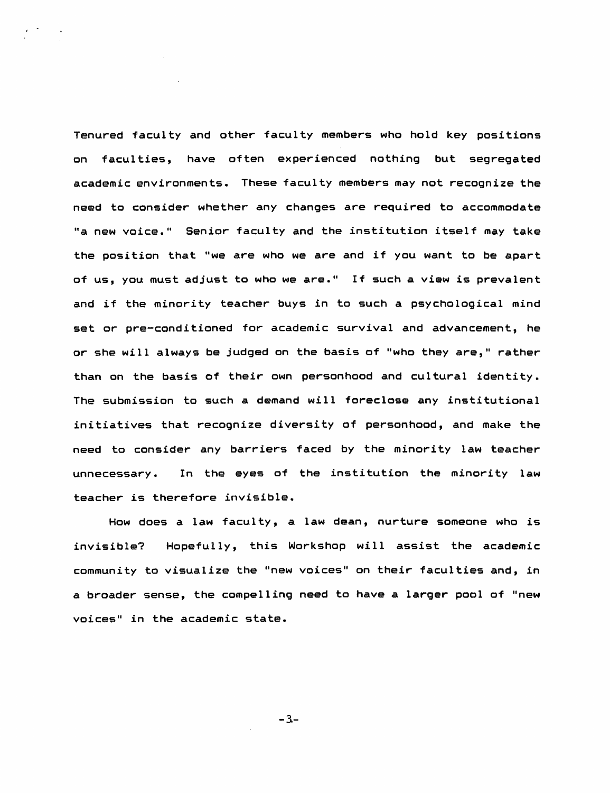Tenured faculty and other faculty members who hold key positions on faculties, have often experienced nothing but segregated academic environments. These facul ty members may not recognize the need to consider whether any changes are required to accommodate "a new voice." Senior faculty and the institution itself may take the position that "we are who we are and if you want to be apart of us, you must adjust to who we are." If such a view is prevalent and if the minority teacher buys in to such a psychological mind set or pre-conditioned for academic survival and advancement, he or she will always be judged on the basis of "who they are," rather than on the basis of their own personhood and cultural identity. The submission to such a demand will foreclose any institutional initiatives that recognize diversity of personhood, and make the need to consider any barriers faced by the minority law teacher unnecessary. In the eyes of the institution the minority law teacher is therefore invisible.

How does a law faculty, a law dean, nurture someone who is invisible? Hopefully, this Workshop will assist the academic community to visualize the "new voices" on their faculties and, in a broader sense, the compelling need to have a larger pool of "new voices" in the academic state.

 $-3-$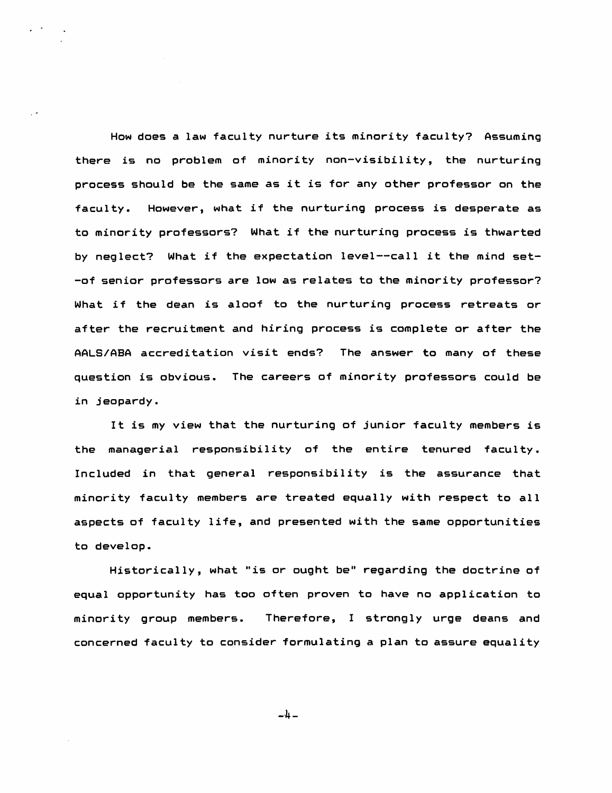How does a law faculty nurture its minority faculty? Assuming there is no problem of minority non-visibility, the nurturing process should be the same as it is for any other professor on the faculty. However, what if the nurturing process is desperate as to minority professors? What if the nurturing process is thwarted by neglect? What if the expectation level--call it the mind set- -of senior professors are low as relates to the minority professor? What if the dean is aloof to the nurturing process retreats or after the recruitment and hiring process is complete or after the AALS/ABA accreditation visit ends? The answer to many of these question is obvious. The careers of minority professors could be in jeopardy.

It is my view that the nurturing of junior faculty members is the managerial responsibility of the entire tenured faculty. Included in that general responsibility is the assurance that minority faculty members are treated equally with respect to all aspects of faculty life, and presented with the same opportunities to develop.

Historically, what "is or ought be" regarding the doctrine of equal opportunity has too often proven to have no application to minority group members. Therefore, I strongly urge deans and concerned faculty to consider formulating a plan to assure equality

 $-4-$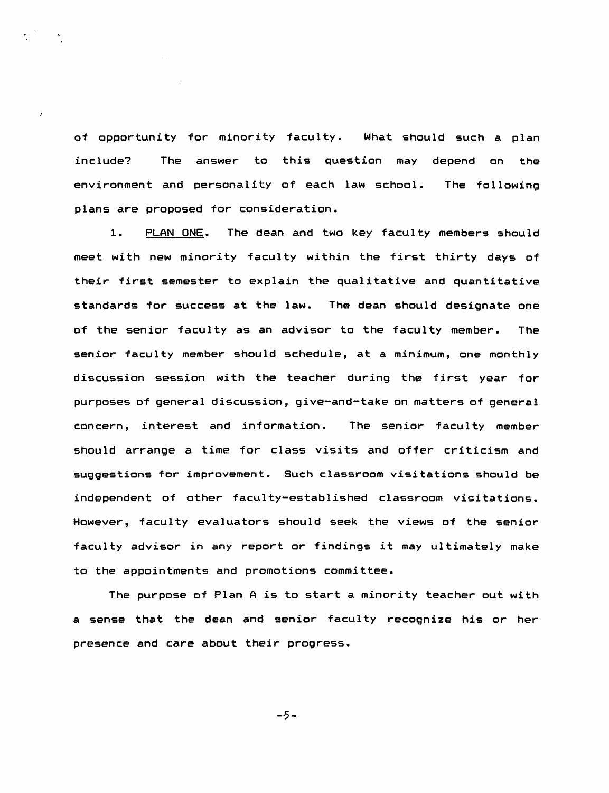of opportunity for minority faculty. What should such a plan include? The answer to this question may depend on the environment and personality of each law school. plans are proposed for consideration. The following

 $\overline{z}$ 

1. PLAN ONE. The dean and two key faculty members should meet with new minority faculty within the first thirty days of their first semester to explain the qualitative and quantitative standards for success at the law. The dean should designate one of the senior faculty as an advisor to the faculty member. The senior faculty member should schedule, at a minimum, one monthly discussion session with the teacher during the first year for purposes of general discussion, give-and-take on matters of general concern, interest and information. The senior faculty member should arrange a time for class visits and offer criticism and suggestions for improvement. Such classroom visitations should be independent of other faculty-established classroom visitations. However, faculty evaluators should seek the views of the senior faculty advisor in any report or findings it may ultimately make to the appointments and promotions committee.

The purpose of Plan A is to start a minority teacher out with a sense that the dean and senior faculty recognize his or her presence and care about their progress.

-5-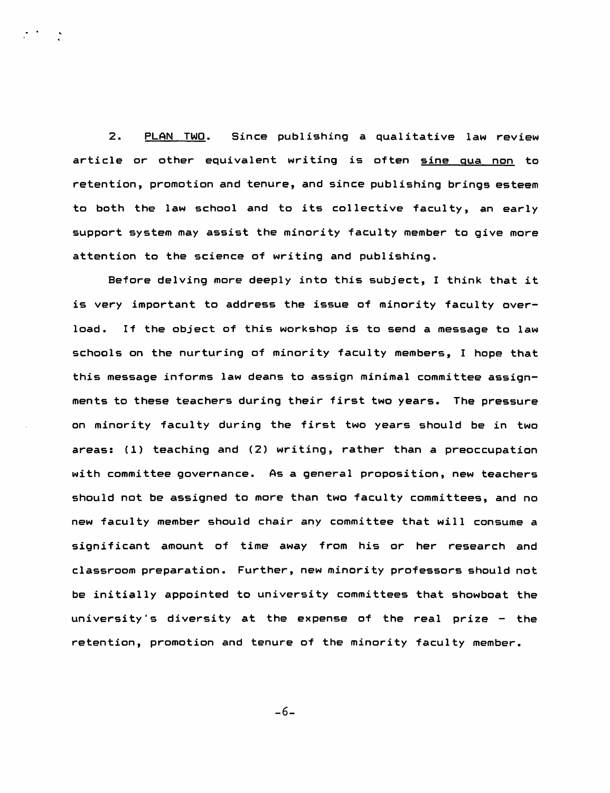2. PLAN TWO. Since publishing a qualitative law review article or other equivalent writing is often sine qua non to retention, promotion and tenure, and since publishing brings esteem to both the law school and to its collective faculty, an early support system may assist the minority faculty member to give more attention to the science of writing and publishing.

Before delving more deeply into this subject, I think that it is very important to address the issue of minority faculty overload. If the object of this workshop is to send a message to law schools on the nurturing of minority faculty members, I hope that this message informs law deans to assign minimal committee assignments to these teachers during their first two years. The pressure on minority faculty during the first two years should be in two areas: (1) teaching and (2) writing, rather than a preoccupation with committee governance. As a general proposition, new teachers should not be assigned to more than two faculty committees, and no new faculty member should chair any committee that will consume a significant amount of time away from his or her research and classroom preparation. Further, new minority professors should not be initially appointed to university committees that showboat the university's diversity at the expense of the real prize  $-$  the retention, promotion and tenure of the minority faculty member.

-6-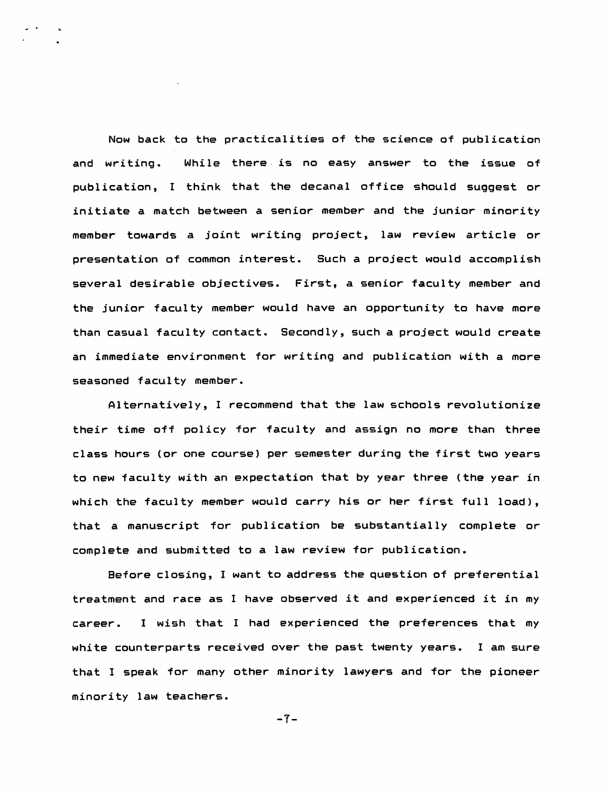Now back to the practicalities of the science of publication and writing. While there is no easy answer to the issue of publication, I think that the decanal office should suggest or initiate a match between a senior member and the junior minority member towards a joint writing project, law review article or presentation of common interest. Such a project would accomplish several desirable objectives. First, a senior faculty member and the junior faculty member would have an opportunity to have more than casual faculty contact. Secondly, such a project would create an immediate environment for writing and publication with a more seasoned faculty member.

Alternatively, I recommend that the law schools revolutionize their time off policy for faculty and assign no more than three class hours (or one course) per semester during the first two years to new faculty with an expectation that by year three (the year in which the faculty member would carry his or her first full load), that a manuscript for publication be substantially complete or complete and submitted to a law review for publication.

Before closing, I want to address the question of preferential treatment and race as I have observed it and experienced it in my career. I wish that I had experienced the preferences that my white counterparts received over the past twenty years. I am sure that I speak for many other minority lawyers and for the pioneer minority law teachers.

 $-7-$